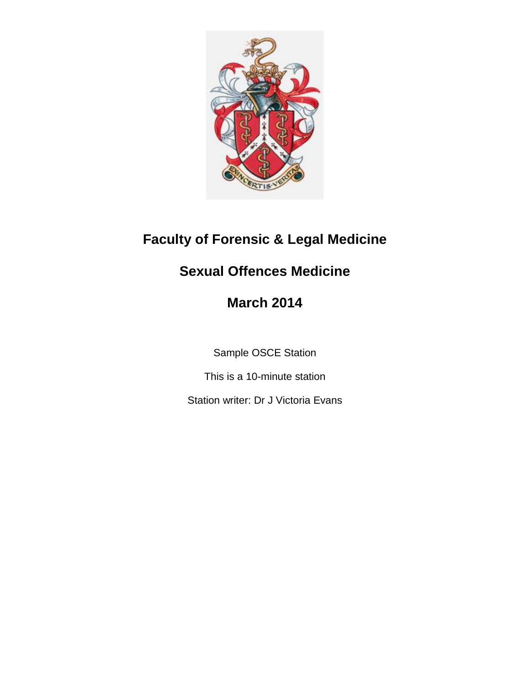

# **Faculty of Forensic & Legal Medicine**

# **Sexual Offences Medicine**

# **March 2014**

Sample OSCE Station

This is a 10-minute station

Station writer: Dr J Victoria Evans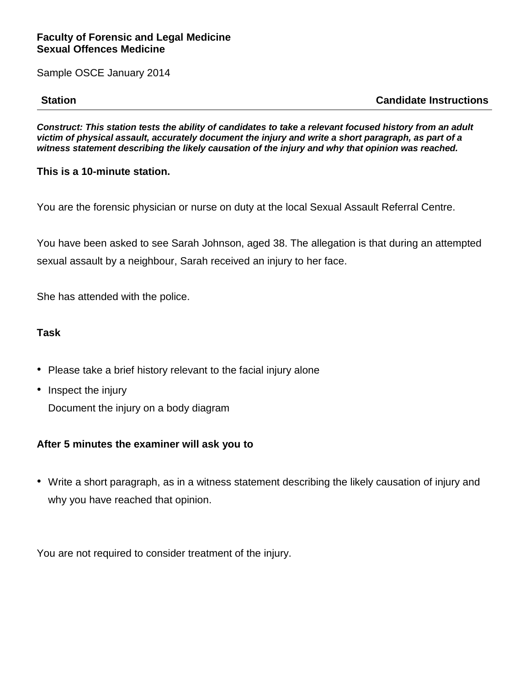Sample OSCE January 2014

**Station Candidate Instructions**

*Construct: This station tests the ability of candidates to take a relevant focused history from an adult victim of physical assault, accurately document the injury and write a short paragraph, as part of a witness statement describing the likely causation of the injury and why that opinion was reached.*

# **This is a 10-minute station.**

You are the forensic physician or nurse on duty at the local Sexual Assault Referral Centre.

You have been asked to see Sarah Johnson, aged 38. The allegation is that during an attempted sexual assault by a neighbour, Sarah received an injury to her face.

She has attended with the police.

#### **Task**

- Please take a brief history relevant to the facial injury alone
- Inspect the injury

Document the injury on a body diagram

# **After 5 minutes the examiner will ask you to**

• Write a short paragraph, as in a witness statement describing the likely causation of injury and why you have reached that opinion.

You are not required to consider treatment of the injury.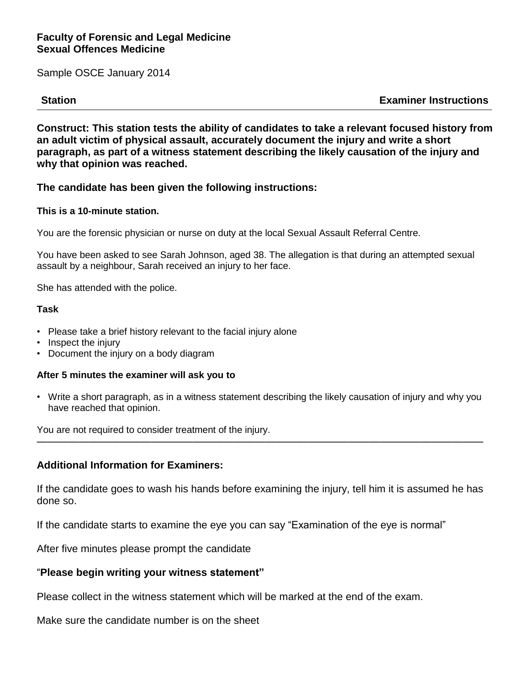Sample OSCE January 2014

**Station Examiner Instructions**

**Construct: This station tests the ability of candidates to take a relevant focused history from an adult victim of physical assault, accurately document the injury and write a short paragraph, as part of a witness statement describing the likely causation of the injury and why that opinion was reached.**

#### **The candidate has been given the following instructions:**

### **This is a 10-minute station.**

You are the forensic physician or nurse on duty at the local Sexual Assault Referral Centre.

You have been asked to see Sarah Johnson, aged 38. The allegation is that during an attempted sexual assault by a neighbour, Sarah received an injury to her face.

She has attended with the police.

#### **Task**

- Please take a brief history relevant to the facial injury alone
- Inspect the injury
- Document the injury on a body diagram

#### **After 5 minutes the examiner will ask you to**

• Write a short paragraph, as in a witness statement describing the likely causation of injury and why you have reached that opinion.

———————————————————————————————————————————

You are not required to consider treatment of the injury.

#### **Additional Information for Examiners:**

If the candidate goes to wash his hands before examining the injury, tell him it is assumed he has done so.

If the candidate starts to examine the eye you can say "Examination of the eye is normal"

After five minutes please prompt the candidate

#### "**Please begin writing your witness statement"**

Please collect in the witness statement which will be marked at the end of the exam.

Make sure the candidate number is on the sheet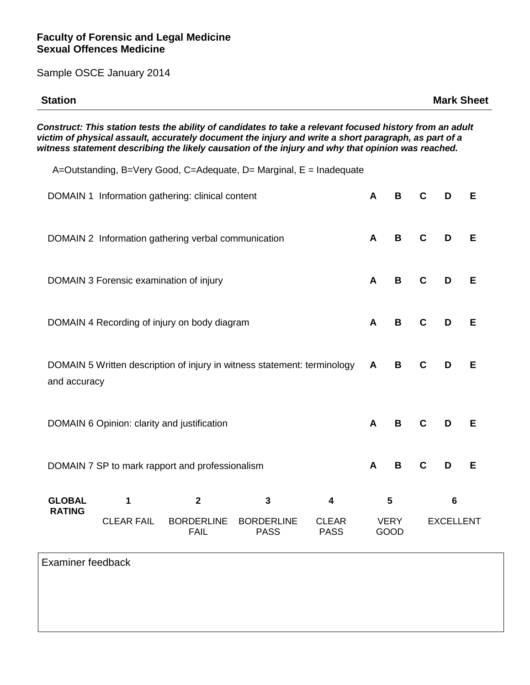Sample OSCE January 2014

| <b>Station</b> | <b>Mark Sheet</b> |
|----------------|-------------------|
|                |                   |

*Construct: This station tests the ability of candidates to take a relevant focused history from an adult victim of physical assault, accurately document the injury and write a short paragraph, as part of a witness statement describing the likely causation of the injury and why that opinion was reached.*

A=Outstanding, B=Very Good, C=Adequate, D= Marginal, E = Inadequate DOMAIN 1 Information gathering: clinical content **A B C D E** DOMAIN 2 Information gathering verbal communication **A B C D E** DOMAIN 3 Forensic examination of injury **A B C D E** DOMAIN 4 Recording of injury on body diagram **A B C D E** DOMAIN 5 Written description of injury in witness statement: terminology and accuracy **A B C D E** DOMAIN 6 Opinion: clarity and justification **A B C D E** DOMAIN 7 SP to mark rapport and professionalism **A B C D E GLOBAL RATING 1** CLEAR FAIL **2** BORDERLINE FAIL **3** BORDERLINE PASS **4** CLEAR PASS **5 VERY** GOOD **6** EXCELLENT

Examiner feedback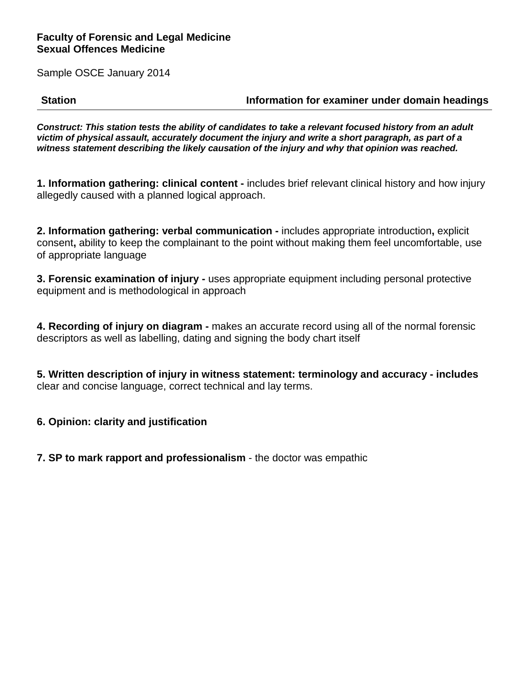Sample OSCE January 2014

**Station Information for examiner under domain headings**

*Construct: This station tests the ability of candidates to take a relevant focused history from an adult victim of physical assault, accurately document the injury and write a short paragraph, as part of a witness statement describing the likely causation of the injury and why that opinion was reached.*

**1. Information gathering: clinical content -** includes brief relevant clinical history and how injury allegedly caused with a planned logical approach.

**2. Information gathering: verbal communication -** includes appropriate introduction**,** explicit consent**,** ability to keep the complainant to the point without making them feel uncomfortable, use of appropriate language

**3. Forensic examination of injury -** uses appropriate equipment including personal protective equipment and is methodological in approach

**4. Recording of injury on diagram -** makes an accurate record using all of the normal forensic descriptors as well as labelling, dating and signing the body chart itself

**5. Written description of injury in witness statement: terminology and accuracy - includes** clear and concise language, correct technical and lay terms.

**6. Opinion: clarity and justification**

**7. SP to mark rapport and professionalism** - the doctor was empathic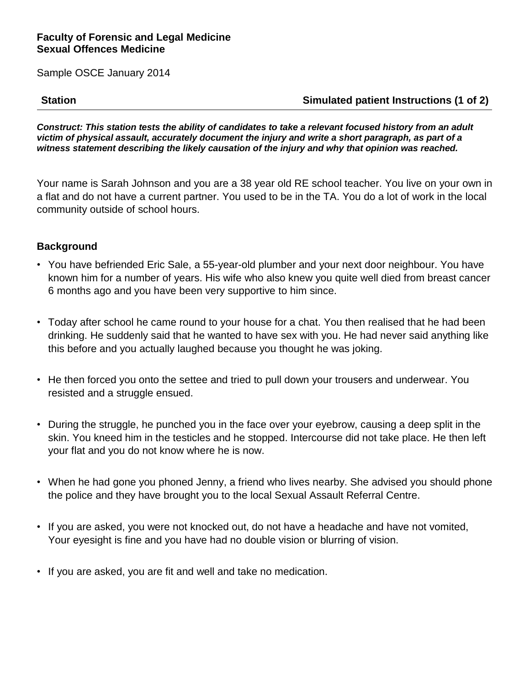Sample OSCE January 2014

# **Station Simulated patient Instructions (1 of 2)**

*Construct: This station tests the ability of candidates to take a relevant focused history from an adult victim of physical assault, accurately document the injury and write a short paragraph, as part of a witness statement describing the likely causation of the injury and why that opinion was reached.*

Your name is Sarah Johnson and you are a 38 year old RE school teacher. You live on your own in a flat and do not have a current partner. You used to be in the TA. You do a lot of work in the local community outside of school hours.

# **Background**

- You have befriended Eric Sale, a 55-year-old plumber and your next door neighbour. You have known him for a number of years. His wife who also knew you quite well died from breast cancer 6 months ago and you have been very supportive to him since.
- Today after school he came round to your house for a chat. You then realised that he had been drinking. He suddenly said that he wanted to have sex with you. He had never said anything like this before and you actually laughed because you thought he was joking.
- He then forced you onto the settee and tried to pull down your trousers and underwear. You resisted and a struggle ensued.
- During the struggle, he punched you in the face over your eyebrow, causing a deep split in the skin. You kneed him in the testicles and he stopped. Intercourse did not take place. He then left your flat and you do not know where he is now.
- When he had gone you phoned Jenny, a friend who lives nearby. She advised you should phone the police and they have brought you to the local Sexual Assault Referral Centre.
- If you are asked, you were not knocked out, do not have a headache and have not vomited, Your eyesight is fine and you have had no double vision or blurring of vision.
- If you are asked, you are fit and well and take no medication.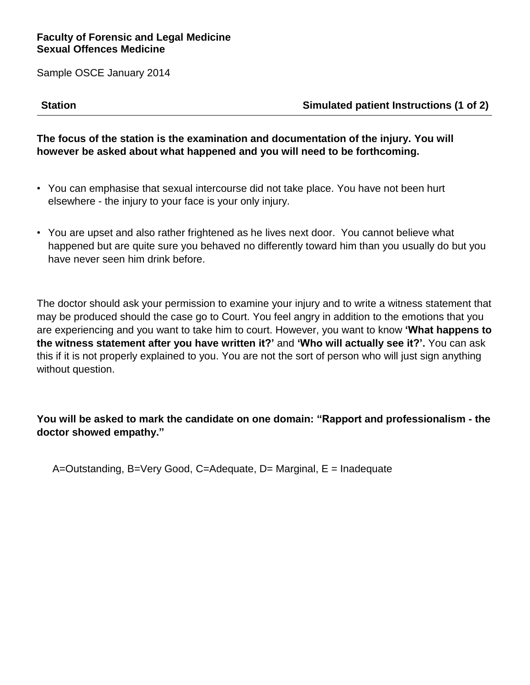Sample OSCE January 2014

**Station Simulated patient Instructions (1 of 2)**

# **The focus of the station is the examination and documentation of the injury. You will however be asked about what happened and you will need to be forthcoming.**

- You can emphasise that sexual intercourse did not take place. You have not been hurt elsewhere - the injury to your face is your only injury.
- You are upset and also rather frightened as he lives next door. You cannot believe what happened but are quite sure you behaved no differently toward him than you usually do but you have never seen him drink before.

The doctor should ask your permission to examine your injury and to write a witness statement that may be produced should the case go to Court. You feel angry in addition to the emotions that you are experiencing and you want to take him to court. However, you want to know **'What happens to the witness statement after you have written it?'** and **'Who will actually see it?'.** You can ask this if it is not properly explained to you. You are not the sort of person who will just sign anything without question.

# **You will be asked to mark the candidate on one domain: "Rapport and professionalism - the doctor showed empathy."**

A=Outstanding, B=Very Good, C=Adequate, D= Marginal, E = Inadequate